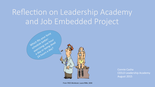# Reflection on Leadership Academy and Job Embedded Project



**Connie Casha** CEELO Leadership Academy August 2015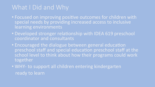## What I Did and Why

- Focused on improving positive outcomes for children with special needs by providing increased access to inclusive learning environments
- Developed stronger relationship with IDEA 619 preschool coordinator and consultants
- Encouraged the dialogue between general education preschool staff and special education preschool staff at the school level to think about how their programs could work together
- WHY- to support all children entering kindergarten ready to learn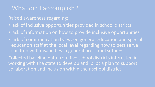### What did I accomplish?

#### Raised awareness regarding:

- lack of inclusive opportunities provided in school districts
- lack of information on how to provide inclusive opportunities
- $\bullet$  lack of communication between general education and special education staff at the local level regarding how to best serve children with disabilities in general preschool settings

Collected baseline data from five school districts interested in working with the state to develop and pilot a plan to support collaboration and inclusion within their school district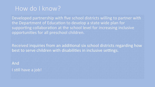### How do I know?

Developed partnership with five school districts willing to partner with the Department of Education to develop a state wide plan for supporting collaboration at the school level for increasing inclusive opportunities for all preschool children.

Received inquiries from an additional six school districts regarding how best to serve children with disabilities in inclusive settings.

And I still have a job!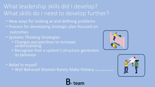## What leadership skills did I develop? What skills do I need to develop further?

- New ways for looking at and defining problems
- Process for developing strategic plan-focused on outcomes
- *Systems Thinking Strategies* 
	- Changes perspectives to increase understanding
	- Recognize that a system's structure generates its behavior

• Belief in myself

• Well Behaved Women Rarely Make History-Laurel Thatcher Ulrecht

B-team